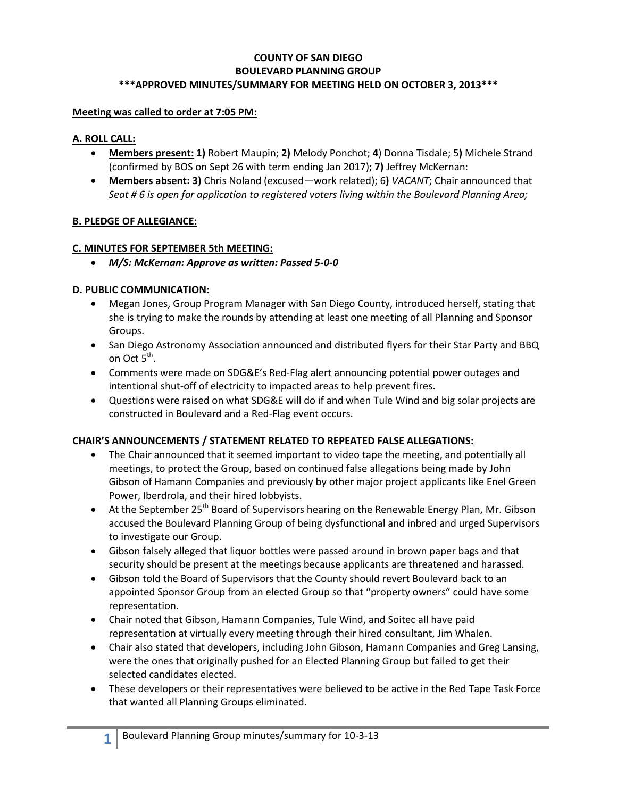### **COUNTY OF SAN DIEGO BOULEVARD PLANNING GROUP \*\*\*APPROVED MINUTES/SUMMARY FOR MEETING HELD ON OCTOBER 3, 2013\*\*\***

#### **Meeting was called to order at 7:05 PM:**

#### **A. ROLL CALL:**

- **Members present: 1)** Robert Maupin; **2)** Melody Ponchot; **4**) Donna Tisdale; 5**)** Michele Strand (confirmed by BOS on Sept 26 with term ending Jan 2017); **7)** Jeffrey McKernan:
- **Members absent: 3)** Chris Noland (excused—work related); 6**)** *VACANT*; Chair announced that *Seat # 6 is open for application to registered voters living within the Boulevard Planning Area;*

### **B. PLEDGE OF ALLEGIANCE:**

#### **C. MINUTES FOR SEPTEMBER 5th MEETING:**

*M/S: McKernan: Approve as written: Passed 5-0-0*

#### **D. PUBLIC COMMUNICATION:**

- Megan Jones, Group Program Manager with San Diego County, introduced herself, stating that she is trying to make the rounds by attending at least one meeting of all Planning and Sponsor Groups.
- San Diego Astronomy Association announced and distributed flyers for their Star Party and BBQ on Oct 5<sup>th</sup>.
- Comments were made on SDG&E's Red-Flag alert announcing potential power outages and intentional shut-off of electricity to impacted areas to help prevent fires.
- Questions were raised on what SDG&E will do if and when Tule Wind and big solar projects are constructed in Boulevard and a Red-Flag event occurs.

### **CHAIR'S ANNOUNCEMENTS / STATEMENT RELATED TO REPEATED FALSE ALLEGATIONS:**

- The Chair announced that it seemed important to video tape the meeting, and potentially all meetings, to protect the Group, based on continued false allegations being made by John Gibson of Hamann Companies and previously by other major project applicants like Enel Green Power, Iberdrola, and their hired lobbyists.
- $\bullet$  At the September 25<sup>th</sup> Board of Supervisors hearing on the Renewable Energy Plan, Mr. Gibson accused the Boulevard Planning Group of being dysfunctional and inbred and urged Supervisors to investigate our Group.
- Gibson falsely alleged that liquor bottles were passed around in brown paper bags and that security should be present at the meetings because applicants are threatened and harassed.
- Gibson told the Board of Supervisors that the County should revert Boulevard back to an appointed Sponsor Group from an elected Group so that "property owners" could have some representation.
- Chair noted that Gibson, Hamann Companies, Tule Wind, and Soitec all have paid representation at virtually every meeting through their hired consultant, Jim Whalen.
- Chair also stated that developers, including John Gibson, Hamann Companies and Greg Lansing, were the ones that originally pushed for an Elected Planning Group but failed to get their selected candidates elected.
- These developers or their representatives were believed to be active in the Red Tape Task Force that wanted all Planning Groups eliminated.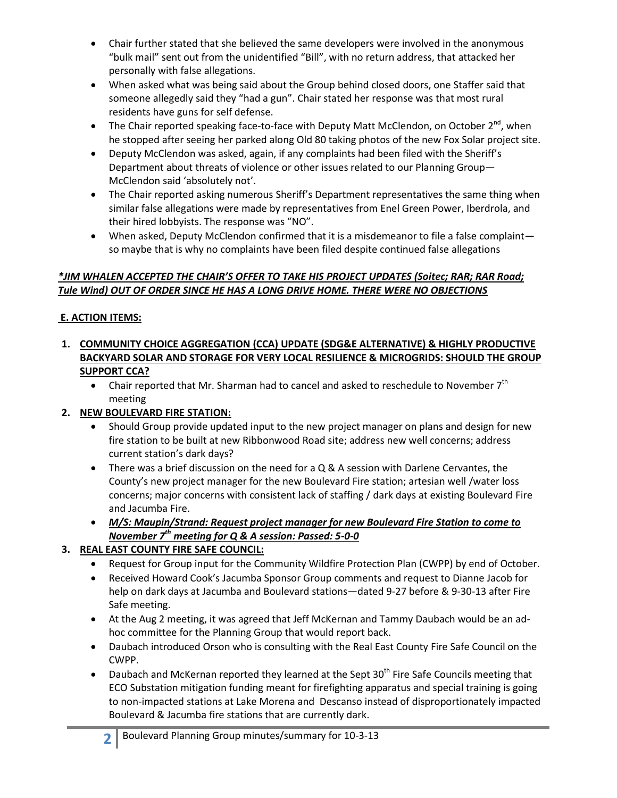- Chair further stated that she believed the same developers were involved in the anonymous "bulk mail" sent out from the unidentified "Bill", with no return address, that attacked her personally with false allegations.
- When asked what was being said about the Group behind closed doors, one Staffer said that someone allegedly said they "had a gun". Chair stated her response was that most rural residents have guns for self defense.
- The Chair reported speaking face-to-face with Deputy Matt McClendon, on October 2<sup>nd</sup>, when he stopped after seeing her parked along Old 80 taking photos of the new Fox Solar project site.
- Deputy McClendon was asked, again, if any complaints had been filed with the Sheriff's Department about threats of violence or other issues related to our Planning Group— McClendon said 'absolutely not'.
- The Chair reported asking numerous Sheriff's Department representatives the same thing when similar false allegations were made by representatives from Enel Green Power, Iberdrola, and their hired lobbyists. The response was "NO".
- When asked, Deputy McClendon confirmed that it is a misdemeanor to file a false complaint so maybe that is why no complaints have been filed despite continued false allegations

# *\*JIM WHALEN ACCEPTED THE CHAIR'S OFFER TO TAKE HIS PROJECT UPDATES (Soitec; RAR; RAR Road; Tule Wind) OUT OF ORDER SINCE HE HAS A LONG DRIVE HOME. THERE WERE NO OBJECTIONS*

# **E. ACTION ITEMS:**

- **1. COMMUNITY CHOICE AGGREGATION (CCA) UPDATE (SDG&E ALTERNATIVE) & HIGHLY PRODUCTIVE BACKYARD SOLAR AND STORAGE FOR VERY LOCAL RESILIENCE & MICROGRIDS: SHOULD THE GROUP SUPPORT CCA?** 
	- Chair reported that Mr. Sharman had to cancel and asked to reschedule to November  $7<sup>th</sup>$ meeting

## **2. NEW BOULEVARD FIRE STATION:**

- Should Group provide updated input to the new project manager on plans and design for new fire station to be built at new Ribbonwood Road site; address new well concerns; address current station's dark days?
- There was a brief discussion on the need for a  $Q & A$  session with Darlene Cervantes, the County's new project manager for the new Boulevard Fire station; artesian well /water loss concerns; major concerns with consistent lack of staffing / dark days at existing Boulevard Fire and Jacumba Fire.
- *M/S: Maupin/Strand: Request project manager for new Boulevard Fire Station to come to November 7th meeting for Q & A session: Passed: 5-0-0*

## **3. REAL EAST COUNTY FIRE SAFE COUNCIL:**

- Request for Group input for the Community Wildfire Protection Plan (CWPP) by end of October.
- Received Howard Cook's Jacumba Sponsor Group comments and request to Dianne Jacob for help on dark days at Jacumba and Boulevard stations—dated 9-27 before & 9-30-13 after Fire Safe meeting.
- At the Aug 2 meeting, it was agreed that Jeff McKernan and Tammy Daubach would be an adhoc committee for the Planning Group that would report back.
- Daubach introduced Orson who is consulting with the Real East County Fire Safe Council on the CWPP.
- Daubach and McKernan reported they learned at the Sept 30<sup>th</sup> Fire Safe Councils meeting that ECO Substation mitigation funding meant for firefighting apparatus and special training is going to non-impacted stations at Lake Morena and Descanso instead of disproportionately impacted Boulevard & Jacumba fire stations that are currently dark.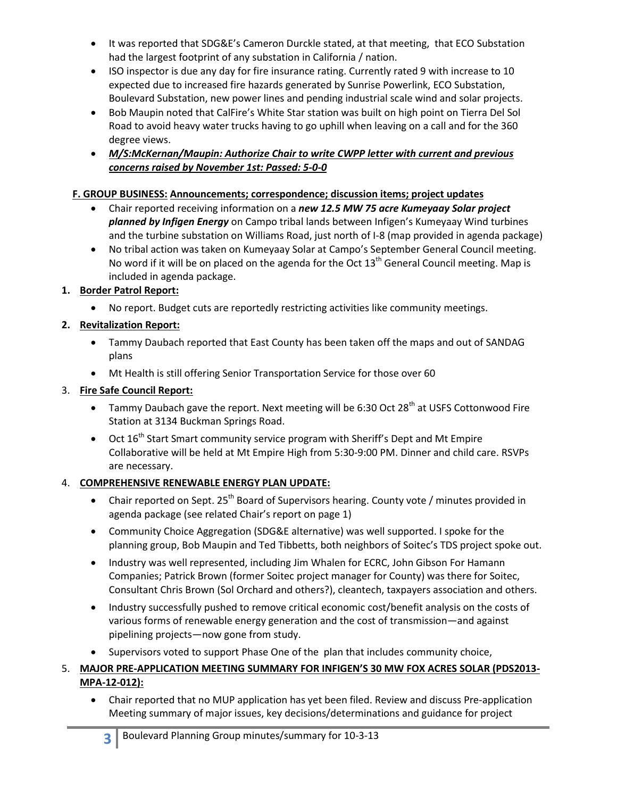- It was reported that SDG&E's Cameron Durckle stated, at that meeting, that ECO Substation had the largest footprint of any substation in California / nation.
- ISO inspector is due any day for fire insurance rating. Currently rated 9 with increase to 10 expected due to increased fire hazards generated by Sunrise Powerlink, ECO Substation, Boulevard Substation, new power lines and pending industrial scale wind and solar projects.
- Bob Maupin noted that CalFire's White Star station was built on high point on Tierra Del Sol Road to avoid heavy water trucks having to go uphill when leaving on a call and for the 360 degree views.
- *M/S:McKernan/Maupin: Authorize Chair to write CWPP letter with current and previous concerns raised by November 1st: Passed: 5-0-0*

# **F. GROUP BUSINESS: Announcements; correspondence; discussion items; project updates**

- Chair reported receiving information on a *new 12.5 MW 75 acre Kumeyaay Solar project planned by Infigen Energy* on Campo tribal lands between Infigen's Kumeyaay Wind turbines and the turbine substation on Williams Road, just north of I-8 (map provided in agenda package)
- No tribal action was taken on Kumeyaay Solar at Campo's September General Council meeting. No word if it will be on placed on the agenda for the Oct  $13<sup>th</sup>$  General Council meeting. Map is included in agenda package.

# **1. Border Patrol Report:**

No report. Budget cuts are reportedly restricting activities like community meetings.

# **2. Revitalization Report:**

- Tammy Daubach reported that East County has been taken off the maps and out of SANDAG plans
- Mt Health is still offering Senior Transportation Service for those over 60

# 3. **Fire Safe Council Report:**

- Tammy Daubach gave the report. Next meeting will be 6:30 Oct 28<sup>th</sup> at USFS Cottonwood Fire Station at 3134 Buckman Springs Road.
- $\bullet$  Oct 16<sup>th</sup> Start Smart community service program with Sheriff's Dept and Mt Empire Collaborative will be held at Mt Empire High from 5:30-9:00 PM. Dinner and child care. RSVPs are necessary.

## 4. **COMPREHENSIVE RENEWABLE ENERGY PLAN UPDATE:**

- Chair reported on Sept. 25<sup>th</sup> Board of Supervisors hearing. County vote / minutes provided in agenda package (see related Chair's report on page 1)
- Community Choice Aggregation (SDG&E alternative) was well supported. I spoke for the planning group, Bob Maupin and Ted Tibbetts, both neighbors of Soitec's TDS project spoke out.
- Industry was well represented, including Jim Whalen for ECRC, John Gibson For Hamann Companies; Patrick Brown (former Soitec project manager for County) was there for Soitec, Consultant Chris Brown (Sol Orchard and others?), cleantech, taxpayers association and others.
- Industry successfully pushed to remove critical economic cost/benefit analysis on the costs of various forms of renewable energy generation and the cost of transmission—and against pipelining projects—now gone from study.
- Supervisors voted to support Phase One of the plan that includes community choice,
- 5. **MAJOR PRE-APPLICATION MEETING SUMMARY FOR INFIGEN'S 30 MW FOX ACRES SOLAR (PDS2013- MPA-12-012):**
	- Chair reported that no MUP application has yet been filed. Review and discuss Pre-application Meeting summary of major issues, key decisions/determinations and guidance for project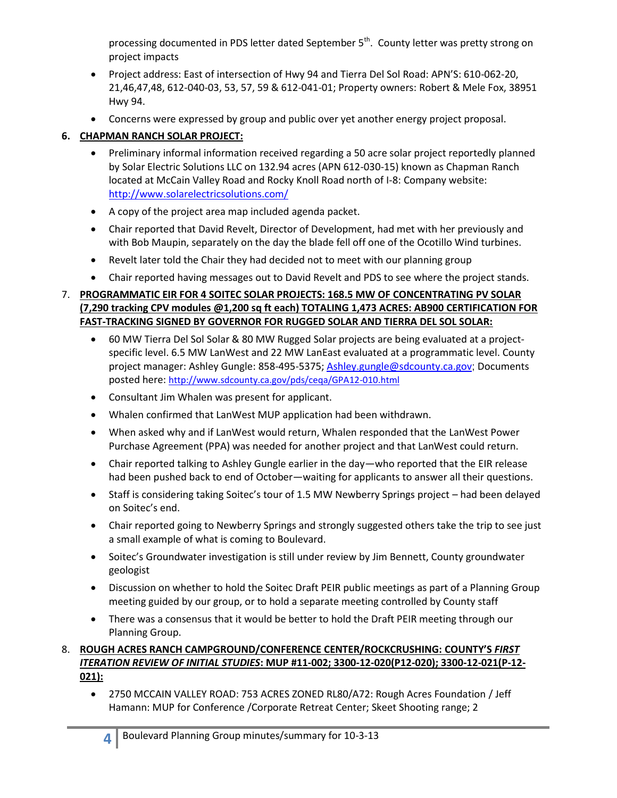processing documented in PDS letter dated September 5<sup>th</sup>. County letter was pretty strong on project impacts

- Project address: East of intersection of Hwy 94 and Tierra Del Sol Road: APN'S: 610-062-20, 21,46,47,48, 612-040-03, 53, 57, 59 & 612-041-01; Property owners: Robert & Mele Fox, 38951 Hwy 94.
- Concerns were expressed by group and public over yet another energy project proposal.

# **6. CHAPMAN RANCH SOLAR PROJECT:**

- Preliminary informal information received regarding a 50 acre solar project reportedly planned by Solar Electric Solutions LLC on 132.94 acres (APN 612-030-15) known as Chapman Ranch located at McCain Valley Road and Rocky Knoll Road north of I-8: Company website: http://www.solarelectricsolutions.com/
- A copy of the project area map included agenda packet.
- Chair reported that David Revelt, Director of Development, had met with her previously and with Bob Maupin, separately on the day the blade fell off one of the Ocotillo Wind turbines.
- Revelt later told the Chair they had decided not to meet with our planning group
- Chair reported having messages out to David Revelt and PDS to see where the project stands.

# 7. **PROGRAMMATIC EIR FOR 4 SOITEC SOLAR PROJECTS: 168.5 MW OF CONCENTRATING PV SOLAR (7,290 tracking CPV modules @1,200 sq ft each) TOTALING 1,473 ACRES: AB900 CERTIFICATION FOR FAST-TRACKING SIGNED BY GOVERNOR FOR RUGGED SOLAR AND TIERRA DEL SOL SOLAR:**

- 60 MW Tierra Del Sol Solar & 80 MW Rugged Solar projects are being evaluated at a projectspecific level. 6.5 MW LanWest and 22 MW LanEast evaluated at a programmatic level. County project manager: Ashley Gungle: 858-495-5375; Ashley.gungle@sdcounty.ca.gov; Documents posted here: http://www.sdcounty.ca.gov/pds/ceqa/GPA12-010.html
- Consultant Jim Whalen was present for applicant.
- Whalen confirmed that LanWest MUP application had been withdrawn.
- When asked why and if LanWest would return, Whalen responded that the LanWest Power Purchase Agreement (PPA) was needed for another project and that LanWest could return.
- Chair reported talking to Ashley Gungle earlier in the day—who reported that the EIR release had been pushed back to end of October—waiting for applicants to answer all their questions.
- Staff is considering taking Soitec's tour of 1.5 MW Newberry Springs project had been delayed on Soitec's end.
- Chair reported going to Newberry Springs and strongly suggested others take the trip to see just a small example of what is coming to Boulevard.
- Soitec's Groundwater investigation is still under review by Jim Bennett, County groundwater geologist
- Discussion on whether to hold the Soitec Draft PEIR public meetings as part of a Planning Group meeting guided by our group, or to hold a separate meeting controlled by County staff
- There was a consensus that it would be better to hold the Draft PEIR meeting through our Planning Group.

8. **ROUGH ACRES RANCH CAMPGROUND/CONFERENCE CENTER/ROCKCRUSHING: COUNTY'S** *FIRST ITERATION REVIEW OF INITIAL STUDIES***: MUP #11-002; 3300-12-020(P12-020); 3300-12-021(P-12- 021):** 

 2750 MCCAIN VALLEY ROAD: 753 ACRES ZONED RL80/A72: Rough Acres Foundation / Jeff Hamann: MUP for Conference /Corporate Retreat Center; Skeet Shooting range; 2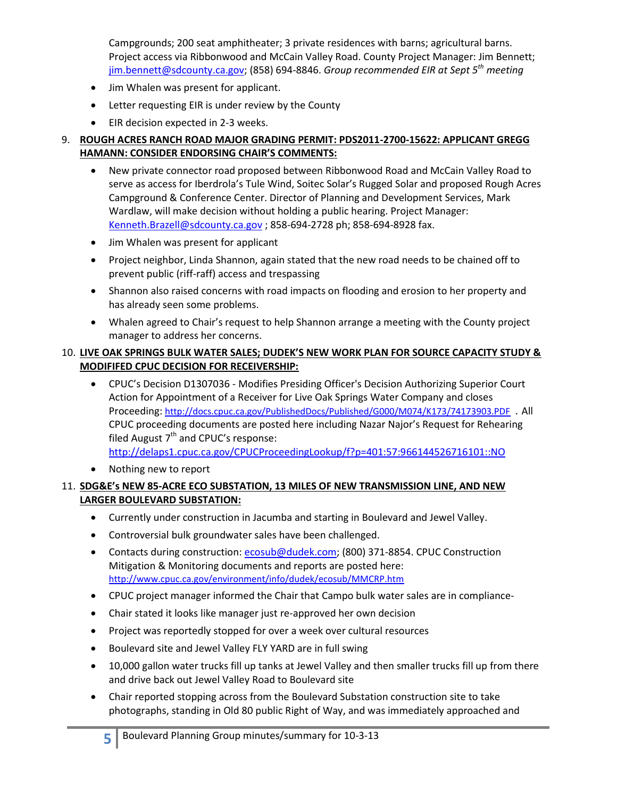Campgrounds; 200 seat amphitheater; 3 private residences with barns; agricultural barns. Project access via Ribbonwood and McCain Valley Road. County Project Manager: Jim Bennett; jim.bennett@sdcounty.ca.gov; (858) 694-8846. *Group recommended EIR at Sept 5th meeting*

- Jim Whalen was present for applicant.
- Letter requesting EIR is under review by the County
- EIR decision expected in 2-3 weeks.

### 9. **ROUGH ACRES RANCH ROAD MAJOR GRADING PERMIT: PDS2011-2700-15622: APPLICANT GREGG HAMANN: CONSIDER ENDORSING CHAIR'S COMMENTS:**

- New private connector road proposed between Ribbonwood Road and McCain Valley Road to serve as access for Iberdrola's Tule Wind, Soitec Solar's Rugged Solar and proposed Rough Acres Campground & Conference Center. Director of Planning and Development Services, Mark Wardlaw, will make decision without holding a public hearing. Project Manager: Kenneth.Brazell@sdcounty.ca.gov ; 858-694-2728 ph; 858-694-8928 fax.
- Jim Whalen was present for applicant
- Project neighbor, Linda Shannon, again stated that the new road needs to be chained off to prevent public (riff-raff) access and trespassing
- Shannon also raised concerns with road impacts on flooding and erosion to her property and has already seen some problems.
- Whalen agreed to Chair's request to help Shannon arrange a meeting with the County project manager to address her concerns.

### 10. **LIVE OAK SPRINGS BULK WATER SALES; DUDEK'S NEW WORK PLAN FOR SOURCE CAPACITY STUDY & MODIFIFED CPUC DECISION FOR RECEIVERSHIP:**

- CPUC's Decision D1307036 Modifies Presiding Officer's Decision Authorizing Superior Court Action for Appointment of a Receiver for Live Oak Springs Water Company and closes Proceeding: http://docs.cpuc.ca.gov/PublishedDocs/Published/G000/M074/K173/74173903.PDF . All CPUC proceeding documents are posted here including Nazar Najor's Request for Rehearing filed August  $7<sup>th</sup>$  and CPUC's response: http://delaps1.cpuc.ca.gov/CPUCProceedingLookup/f?p=401:57:966144526716101::NO
- Nothing new to report

### 11. **SDG&E's NEW 85-ACRE ECO SUBSTATION, 13 MILES OF NEW TRANSMISSION LINE, AND NEW LARGER BOULEVARD SUBSTATION:**

- Currently under construction in Jacumba and starting in Boulevard and Jewel Valley.
- Controversial bulk groundwater sales have been challenged.
- Contacts during construction: ecosub@dudek.com; (800) 371-8854. CPUC Construction Mitigation & Monitoring documents and reports are posted here: http://www.cpuc.ca.gov/environment/info/dudek/ecosub/MMCRP.htm
- CPUC project manager informed the Chair that Campo bulk water sales are in compliance-
- Chair stated it looks like manager just re-approved her own decision
- Project was reportedly stopped for over a week over cultural resources
- Boulevard site and Jewel Valley FLY YARD are in full swing
- 10,000 gallon water trucks fill up tanks at Jewel Valley and then smaller trucks fill up from there and drive back out Jewel Valley Road to Boulevard site
- Chair reported stopping across from the Boulevard Substation construction site to take photographs, standing in Old 80 public Right of Way, and was immediately approached and